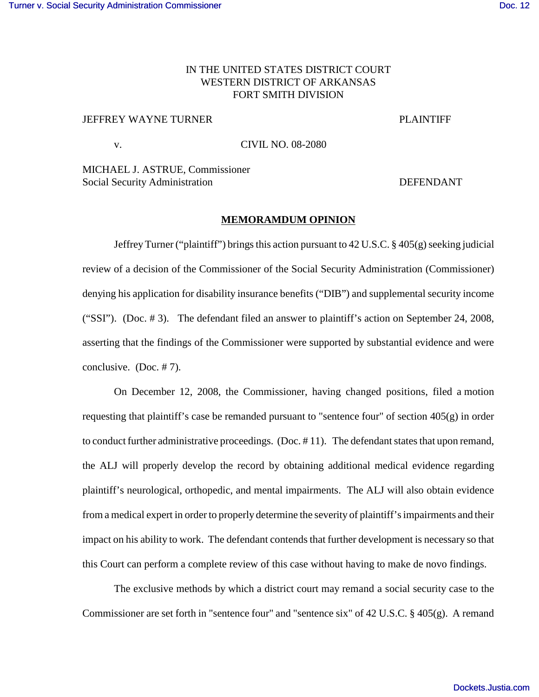## IN THE UNITED STATES DISTRICT COURT WESTERN DISTRICT OF ARKANSAS FORT SMITH DIVISION

## JEFFREY WAYNE TURNER TERMINER WAYNE THE PLAINTIFF

v. CIVIL NO. 08-2080

MICHAEL J. ASTRUE, Commissioner Social Security Administration **DEFENDANT** 

## **MEMORAMDUM OPINION**

Jeffrey Turner ("plaintiff") brings this action pursuant to 42 U.S.C. § 405(g) seeking judicial review of a decision of the Commissioner of the Social Security Administration (Commissioner) denying his application for disability insurance benefits ("DIB") and supplemental security income ("SSI"). (Doc. # 3). The defendant filed an answer to plaintiff's action on September 24, 2008, asserting that the findings of the Commissioner were supported by substantial evidence and were conclusive. (Doc. # 7).

On December 12, 2008, the Commissioner, having changed positions, filed a motion requesting that plaintiff's case be remanded pursuant to "sentence four" of section 405(g) in order to conduct further administrative proceedings. (Doc. # 11). The defendant states that upon remand, the ALJ will properly develop the record by obtaining additional medical evidence regarding plaintiff's neurological, orthopedic, and mental impairments. The ALJ will also obtain evidence from a medical expert in order to properly determine the severity of plaintiff's impairments and their impact on his ability to work. The defendant contends that further development is necessary so that this Court can perform a complete review of this case without having to make de novo findings.

The exclusive methods by which a district court may remand a social security case to the Commissioner are set forth in "sentence four" and "sentence six" of 42 U.S.C. § 405(g). A remand